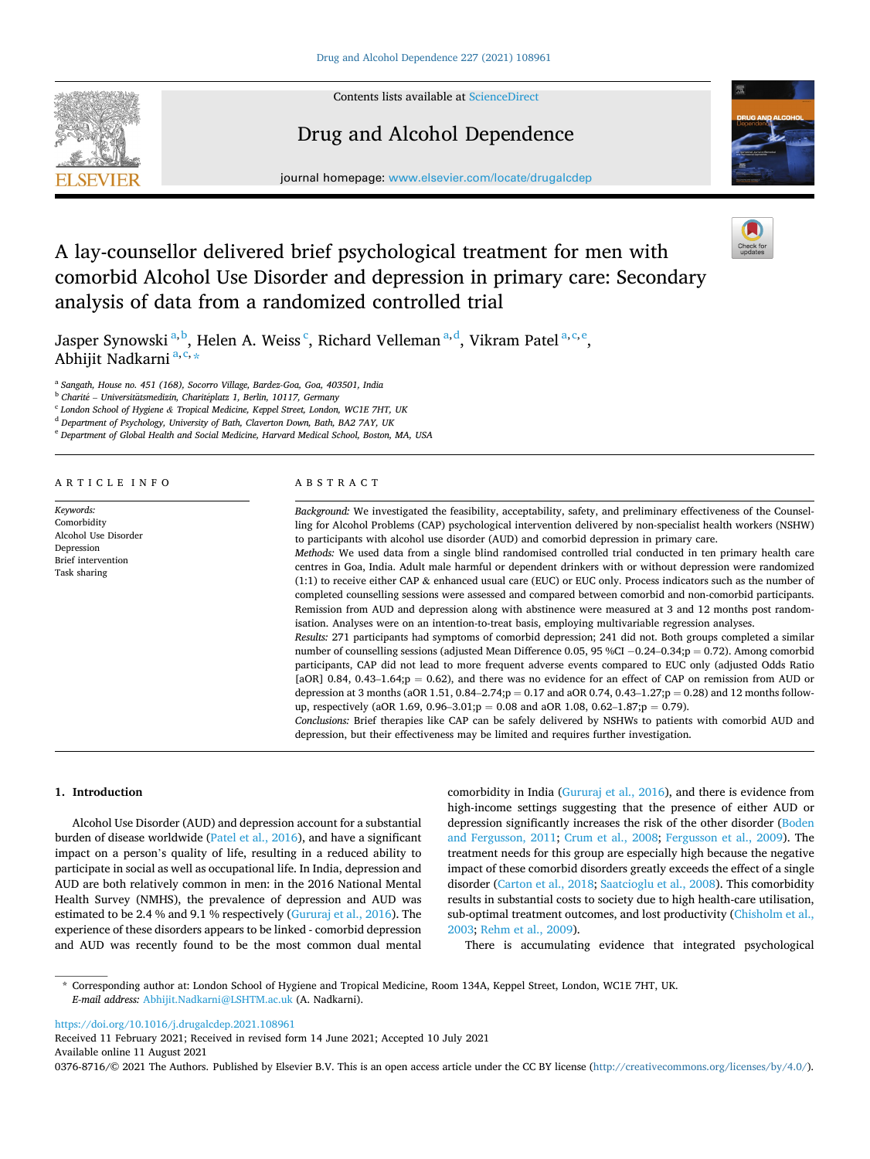Contents lists available at [ScienceDirect](www.sciencedirect.com/science/journal/03768716)



# Drug and Alcohol Dependence

journal homepage: [www.elsevier.com/locate/drugalcdep](https://www.elsevier.com/locate/drugalcdep) 



# A lay-counsellor delivered brief psychological treatment for men with comorbid Alcohol Use Disorder and depression in primary care: Secondary analysis of data from a randomized controlled trial



Jasper Synowski<sup>a, b</sup>, Helen A. Weiss<sup>c</sup>, Richard Velleman<sup>a, d</sup>, Vikram Patel<sup>a, c, e</sup>, Abhijit Nadkarni <sup>a, c,</sup> \*

<sup>a</sup> *Sangath, House no. 451 (168), Socorro Village, Bardez-Goa, Goa, 403501, India* 

<sup>b</sup> Charité – Universitätsmedizin, Charitéplatz 1, Berlin, 10117, Germany

<sup>c</sup> *London School of Hygiene & Tropical Medicine, Keppel Street, London, WC1E 7HT, UK* 

<sup>d</sup> *Department of Psychology, University of Bath, Claverton Down, Bath, BA2 7AY, UK* 

<sup>e</sup> *Department of Global Health and Social Medicine, Harvard Medical School, Boston, MA, USA* 

#### ARTICLE INFO

*Keywords:*  Comorbidity Alcohol Use Disorder Depression Brief intervention Task sharing

### ABSTRACT

*Background:* We investigated the feasibility, acceptability, safety, and preliminary effectiveness of the Counselling for Alcohol Problems (CAP) psychological intervention delivered by non-specialist health workers (NSHW) to participants with alcohol use disorder (AUD) and comorbid depression in primary care.

*Methods:* We used data from a single blind randomised controlled trial conducted in ten primary health care centres in Goa, India. Adult male harmful or dependent drinkers with or without depression were randomized (1:1) to receive either CAP & enhanced usual care (EUC) or EUC only. Process indicators such as the number of completed counselling sessions were assessed and compared between comorbid and non-comorbid participants. Remission from AUD and depression along with abstinence were measured at 3 and 12 months post randomisation. Analyses were on an intention-to-treat basis, employing multivariable regression analyses.

*Results:* 271 participants had symptoms of comorbid depression; 241 did not. Both groups completed a similar number of counselling sessions (adjusted Mean Difference 0.05, 95 %CI − 0.24–0.34;p = 0.72). Among comorbid participants, CAP did not lead to more frequent adverse events compared to EUC only (adjusted Odds Ratio [aOR] 0.84, 0.43–1.64; $p = 0.62$ ), and there was no evidence for an effect of CAP on remission from AUD or depression at 3 months (aOR 1.51, 0.84–2.74;p = 0.17 and aOR 0.74, 0.43–1.27;p = 0.28) and 12 months followup, respectively (aOR 1.69, 0.96–3.01;p = 0.08 and aOR 1.08, 0.62–1.87;p = 0.79).

*Conclusions:* Brief therapies like CAP can be safely delivered by NSHWs to patients with comorbid AUD and depression, but their effectiveness may be limited and requires further investigation.

#### **1. Introduction**

Alcohol Use Disorder (AUD) and depression account for a substantial burden of disease worldwide [\(Patel et al., 2016\)](#page-6-0), and have a significant impact on a person's quality of life, resulting in a reduced ability to participate in social as well as occupational life. In India, depression and AUD are both relatively common in men: in the 2016 National Mental Health Survey (NMHS), the prevalence of depression and AUD was estimated to be 2.4 % and 9.1 % respectively ([Gururaj et al., 2016](#page-6-0)). The experience of these disorders appears to be linked - comorbid depression and AUD was recently found to be the most common dual mental comorbidity in India [\(Gururaj et al., 2016](#page-6-0)), and there is evidence from high-income settings suggesting that the presence of either AUD or depression significantly increases the risk of the other disorder ([Boden](#page-6-0)  [and Fergusson, 2011](#page-6-0); [Crum et al., 2008;](#page-6-0) [Fergusson et al., 2009](#page-6-0)). The treatment needs for this group are especially high because the negative impact of these comorbid disorders greatly exceeds the effect of a single disorder ([Carton et al., 2018; Saatcioglu et al., 2008](#page-6-0)). This comorbidity results in substantial costs to society due to high health-care utilisation, sub-optimal treatment outcomes, and lost productivity ([Chisholm et al.,](#page-6-0)  [2003; Rehm et al., 2009](#page-6-0)).

There is accumulating evidence that integrated psychological

\* Corresponding author at: London School of Hygiene and Tropical Medicine, Room 134A, Keppel Street, London, WC1E 7HT, UK. *E-mail address:* [Abhijit.Nadkarni@LSHTM.ac.uk](mailto:Abhijit.Nadkarni@LSHTM.ac.uk) (A. Nadkarni).

<https://doi.org/10.1016/j.drugalcdep.2021.108961>

Available online 11 August 2021 Received 11 February 2021; Received in revised form 14 June 2021; Accepted 10 July 2021

0376-8716/© 2021 The Authors. Published by Elsevier B.V. This is an open access article under the CC BY license [\(http://creativecommons.org/licenses/by/4.0/\)](http://creativecommons.org/licenses/by/4.0/).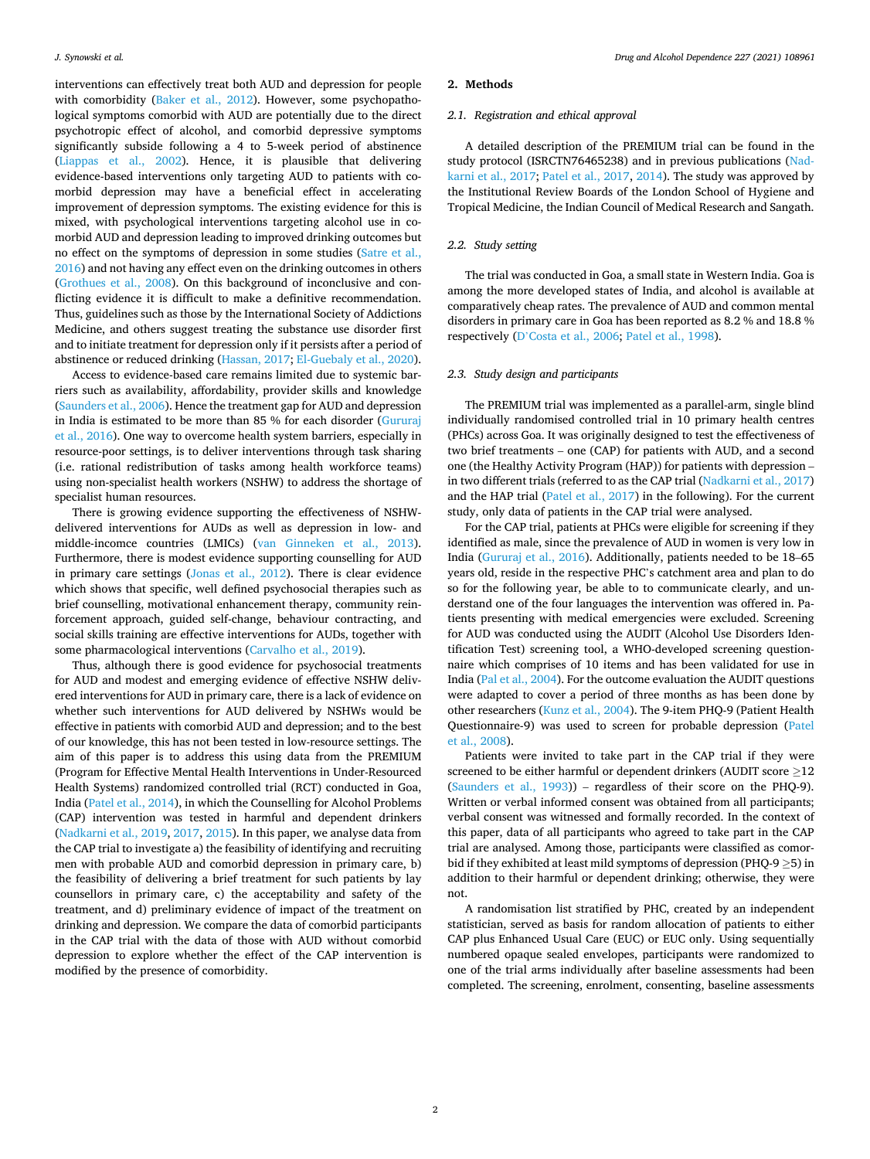interventions can effectively treat both AUD and depression for people with comorbidity ([Baker et al., 2012](#page-6-0)). However, some psychopathological symptoms comorbid with AUD are potentially due to the direct psychotropic effect of alcohol, and comorbid depressive symptoms significantly subside following a 4 to 5-week period of abstinence ([Liappas et al., 2002](#page-6-0)). Hence, it is plausible that delivering evidence-based interventions only targeting AUD to patients with comorbid depression may have a beneficial effect in accelerating improvement of depression symptoms. The existing evidence for this is mixed, with psychological interventions targeting alcohol use in comorbid AUD and depression leading to improved drinking outcomes but no effect on the symptoms of depression in some studies [\(Satre et al.,](#page-6-0)  [2016\)](#page-6-0) and not having any effect even on the drinking outcomes in others ([Grothues et al., 2008](#page-6-0)). On this background of inconclusive and conflicting evidence it is difficult to make a definitive recommendation. Thus, guidelines such as those by the International Society of Addictions Medicine, and others suggest treating the substance use disorder first and to initiate treatment for depression only if it persists after a period of abstinence or reduced drinking ([Hassan, 2017; El-Guebaly et al., 2020](#page-6-0)).

Access to evidence-based care remains limited due to systemic barriers such as availability, affordability, provider skills and knowledge ([Saunders et al., 2006\)](#page-7-0). Hence the treatment gap for AUD and depression in India is estimated to be more than 85 % for each disorder [\(Gururaj](#page-6-0)  [et al., 2016](#page-6-0)). One way to overcome health system barriers, especially in resource-poor settings, is to deliver interventions through task sharing (i.e. rational redistribution of tasks among health workforce teams) using non-specialist health workers (NSHW) to address the shortage of specialist human resources.

There is growing evidence supporting the effectiveness of NSHWdelivered interventions for AUDs as well as depression in low- and middle-incomce countries (LMICs) [\(van Ginneken et al., 2013](#page-7-0)). Furthermore, there is modest evidence supporting counselling for AUD in primary care settings ([Jonas et al., 2012](#page-6-0)). There is clear evidence which shows that specific, well defined psychosocial therapies such as brief counselling, motivational enhancement therapy, community reinforcement approach, guided self-change, behaviour contracting, and social skills training are effective interventions for AUDs, together with some pharmacological interventions ([Carvalho et al., 2019](#page-6-0)).

Thus, although there is good evidence for psychosocial treatments for AUD and modest and emerging evidence of effective NSHW delivered interventions for AUD in primary care, there is a lack of evidence on whether such interventions for AUD delivered by NSHWs would be effective in patients with comorbid AUD and depression; and to the best of our knowledge, this has not been tested in low-resource settings. The aim of this paper is to address this using data from the PREMIUM (Program for Effective Mental Health Interventions in Under-Resourced Health Systems) randomized controlled trial (RCT) conducted in Goa, India ([Patel et al., 2014](#page-6-0)), in which the Counselling for Alcohol Problems (CAP) intervention was tested in harmful and dependent drinkers ([Nadkarni et al., 2019, 2017, 2015\)](#page-6-0). In this paper, we analyse data from the CAP trial to investigate a) the feasibility of identifying and recruiting men with probable AUD and comorbid depression in primary care, b) the feasibility of delivering a brief treatment for such patients by lay counsellors in primary care, c) the acceptability and safety of the treatment, and d) preliminary evidence of impact of the treatment on drinking and depression. We compare the data of comorbid participants in the CAP trial with the data of those with AUD without comorbid depression to explore whether the effect of the CAP intervention is modified by the presence of comorbidity.

#### **2. Methods**

#### *2.1. Registration and ethical approval*

A detailed description of the PREMIUM trial can be found in the study protocol (ISRCTN76465238) and in previous publications ([Nad](#page-6-0)[karni et al., 2017](#page-6-0); [Patel et al., 2017](#page-6-0), [2014\)](#page-6-0). The study was approved by the Institutional Review Boards of the London School of Hygiene and Tropical Medicine, the Indian Council of Medical Research and Sangath.

#### *2.2. Study setting*

The trial was conducted in Goa, a small state in Western India. Goa is among the more developed states of India, and alcohol is available at comparatively cheap rates. The prevalence of AUD and common mental disorders in primary care in Goa has been reported as 8.2 % and 18.8 % respectively (D'[Costa et al., 2006](#page-6-0); [Patel et al., 1998](#page-6-0)).

#### *2.3. Study design and participants*

The PREMIUM trial was implemented as a parallel-arm, single blind individually randomised controlled trial in 10 primary health centres (PHCs) across Goa. It was originally designed to test the effectiveness of two brief treatments – one (CAP) for patients with AUD, and a second one (the Healthy Activity Program (HAP)) for patients with depression – in two different trials (referred to as the CAP trial [\(Nadkarni et al., 2017\)](#page-6-0) and the HAP trial [\(Patel et al., 2017\)](#page-6-0) in the following). For the current study, only data of patients in the CAP trial were analysed.

For the CAP trial, patients at PHCs were eligible for screening if they identified as male, since the prevalence of AUD in women is very low in India [\(Gururaj et al., 2016\)](#page-6-0). Additionally, patients needed to be 18–65 years old, reside in the respective PHC's catchment area and plan to do so for the following year, be able to to communicate clearly, and understand one of the four languages the intervention was offered in. Patients presenting with medical emergencies were excluded. Screening for AUD was conducted using the AUDIT (Alcohol Use Disorders Identification Test) screening tool, a WHO-developed screening questionnaire which comprises of 10 items and has been validated for use in India [\(Pal et al., 2004](#page-6-0)). For the outcome evaluation the AUDIT questions were adapted to cover a period of three months as has been done by other researchers [\(Kunz et al., 2004](#page-6-0)). The 9-item PHQ-9 (Patient Health Questionnaire-9) was used to screen for probable depression ([Patel](#page-6-0)  [et al., 2008\)](#page-6-0).

Patients were invited to take part in the CAP trial if they were screened to be either harmful or dependent drinkers (AUDIT score ≥12 ([Saunders et al., 1993](#page-6-0))) – regardless of their score on the PHQ-9). Written or verbal informed consent was obtained from all participants; verbal consent was witnessed and formally recorded. In the context of this paper, data of all participants who agreed to take part in the CAP trial are analysed. Among those, participants were classified as comorbid if they exhibited at least mild symptoms of depression (PHQ-9 ≥5) in addition to their harmful or dependent drinking; otherwise, they were not.

A randomisation list stratified by PHC, created by an independent statistician, served as basis for random allocation of patients to either CAP plus Enhanced Usual Care (EUC) or EUC only. Using sequentially numbered opaque sealed envelopes, participants were randomized to one of the trial arms individually after baseline assessments had been completed. The screening, enrolment, consenting, baseline assessments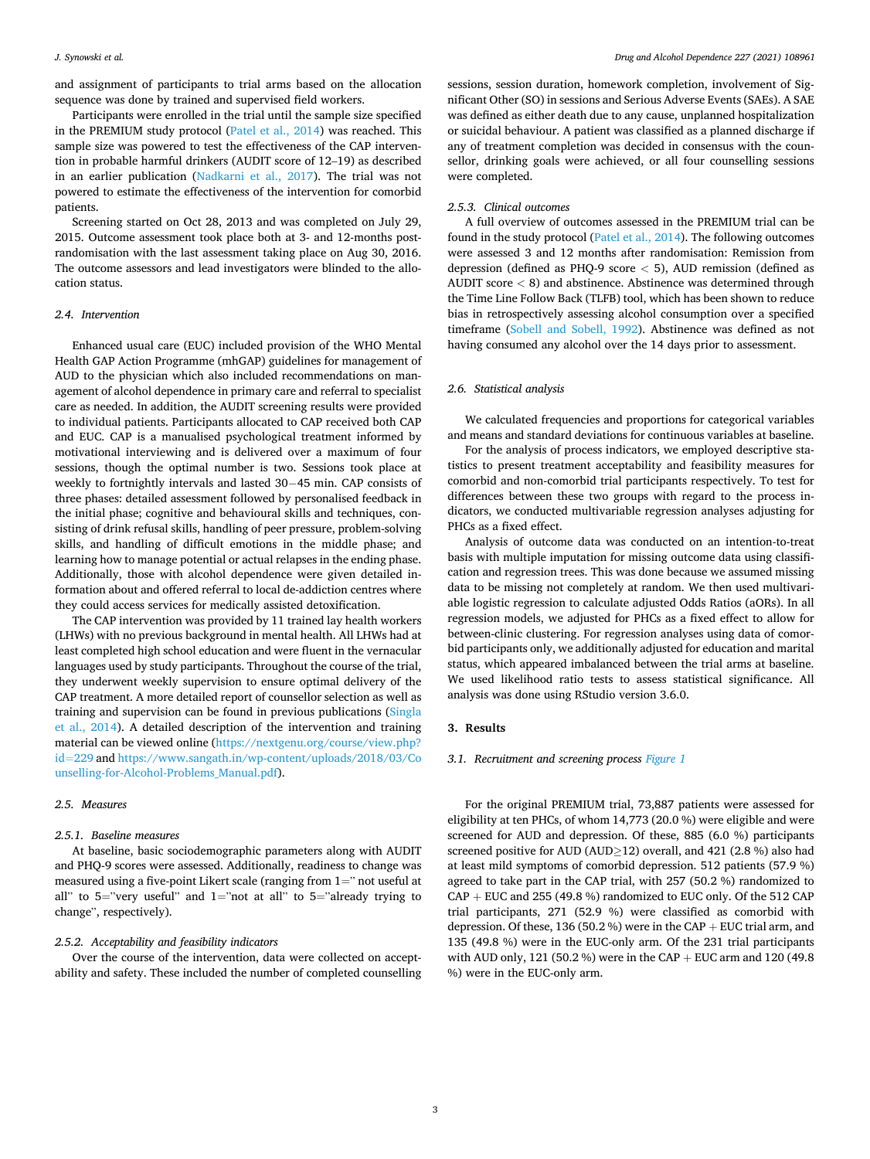*Drug and Alcohol Dependence 227 (2021) 108961*

and assignment of participants to trial arms based on the allocation sequence was done by trained and supervised field workers.

Participants were enrolled in the trial until the sample size specified in the PREMIUM study protocol ([Patel et al., 2014](#page-6-0)) was reached. This sample size was powered to test the effectiveness of the CAP intervention in probable harmful drinkers (AUDIT score of 12–19) as described in an earlier publication ([Nadkarni et al., 2017\)](#page-6-0). The trial was not powered to estimate the effectiveness of the intervention for comorbid patients.

Screening started on Oct 28, 2013 and was completed on July 29, 2015. Outcome assessment took place both at 3- and 12-months postrandomisation with the last assessment taking place on Aug 30, 2016. The outcome assessors and lead investigators were blinded to the allocation status.

#### *2.4. Intervention*

Enhanced usual care (EUC) included provision of the WHO Mental Health GAP Action Programme (mhGAP) guidelines for management of AUD to the physician which also included recommendations on management of alcohol dependence in primary care and referral to specialist care as needed. In addition, the AUDIT screening results were provided to individual patients. Participants allocated to CAP received both CAP and EUC. CAP is a manualised psychological treatment informed by motivational interviewing and is delivered over a maximum of four sessions, though the optimal number is two. Sessions took place at weekly to fortnightly intervals and lasted 30− 45 min. CAP consists of three phases: detailed assessment followed by personalised feedback in the initial phase; cognitive and behavioural skills and techniques, consisting of drink refusal skills, handling of peer pressure, problem-solving skills, and handling of difficult emotions in the middle phase; and learning how to manage potential or actual relapses in the ending phase. Additionally, those with alcohol dependence were given detailed information about and offered referral to local de-addiction centres where they could access services for medically assisted detoxification.

The CAP intervention was provided by 11 trained lay health workers (LHWs) with no previous background in mental health. All LHWs had at least completed high school education and were fluent in the vernacular languages used by study participants. Throughout the course of the trial, they underwent weekly supervision to ensure optimal delivery of the CAP treatment. A more detailed report of counsellor selection as well as training and supervision can be found in previous publications ([Singla](#page-7-0)  [et al., 2014](#page-7-0)). A detailed description of the intervention and training material can be viewed online ([https://nextgenu.org/course/view.php?](https://nextgenu.org/course/view.php?id=229)  id=[229](https://nextgenu.org/course/view.php?id=229) and [https://www.sangath.in/wp-content/uploads/2018/03/Co](https://www.sangath.in/wp-content/uploads/2018/03/Counselling-for-Alcohol-Problems_Manual.pdf)  [unselling-for-Alcohol-Problems\\_Manual.pdf](https://www.sangath.in/wp-content/uploads/2018/03/Counselling-for-Alcohol-Problems_Manual.pdf)).

#### *2.5. Measures*

#### *2.5.1. Baseline measures*

At baseline, basic sociodemographic parameters along with AUDIT and PHQ-9 scores were assessed. Additionally, readiness to change was measured using a five-point Likert scale (ranging from 1=" not useful at all" to 5="very useful" and  $1$ ="not at all" to 5="already trying to change", respectively).

#### *2.5.2. Acceptability and feasibility indicators*

Over the course of the intervention, data were collected on acceptability and safety. These included the number of completed counselling sessions, session duration, homework completion, involvement of Significant Other (SO) in sessions and Serious Adverse Events (SAEs). A SAE was defined as either death due to any cause, unplanned hospitalization or suicidal behaviour. A patient was classified as a planned discharge if any of treatment completion was decided in consensus with the counsellor, drinking goals were achieved, or all four counselling sessions were completed.

#### *2.5.3. Clinical outcomes*

A full overview of outcomes assessed in the PREMIUM trial can be found in the study protocol ([Patel et al., 2014](#page-6-0)). The following outcomes were assessed 3 and 12 months after randomisation: Remission from depression (defined as PHQ-9 score *<* 5), AUD remission (defined as AUDIT score *<* 8) and abstinence. Abstinence was determined through the Time Line Follow Back (TLFB) tool, which has been shown to reduce bias in retrospectively assessing alcohol consumption over a specified timeframe ([Sobell and Sobell, 1992\)](#page-7-0). Abstinence was defined as not having consumed any alcohol over the 14 days prior to assessment.

#### *2.6. Statistical analysis*

We calculated frequencies and proportions for categorical variables and means and standard deviations for continuous variables at baseline.

For the analysis of process indicators, we employed descriptive statistics to present treatment acceptability and feasibility measures for comorbid and non-comorbid trial participants respectively. To test for differences between these two groups with regard to the process indicators, we conducted multivariable regression analyses adjusting for PHCs as a fixed effect.

Analysis of outcome data was conducted on an intention-to-treat basis with multiple imputation for missing outcome data using classification and regression trees. This was done because we assumed missing data to be missing not completely at random. We then used multivariable logistic regression to calculate adjusted Odds Ratios (aORs). In all regression models, we adjusted for PHCs as a fixed effect to allow for between-clinic clustering. For regression analyses using data of comorbid participants only, we additionally adjusted for education and marital status, which appeared imbalanced between the trial arms at baseline. We used likelihood ratio tests to assess statistical significance. All analysis was done using RStudio version 3.6.0.

#### **3. Results**

#### *3.1. Recruitment and screening process [Figure 1](#page-3-0)*

For the original PREMIUM trial, 73,887 patients were assessed for eligibility at ten PHCs, of whom 14,773 (20.0 %) were eligible and were screened for AUD and depression. Of these, 885 (6.0 %) participants screened positive for AUD (AUD≥12) overall, and 421 (2.8 %) also had at least mild symptoms of comorbid depression. 512 patients (57.9 %) agreed to take part in the CAP trial, with 257 (50.2 %) randomized to  $CAP + EUC$  and 255 (49.8 %) randomized to EUC only. Of the 512 CAP trial participants, 271 (52.9 %) were classified as comorbid with depression. Of these, 136 (50.2 %) were in the CAP + EUC trial arm, and 135 (49.8 %) were in the EUC-only arm. Of the 231 trial participants with AUD only, 121 (50.2 %) were in the CAP + EUC arm and 120 (49.8 %) were in the EUC-only arm.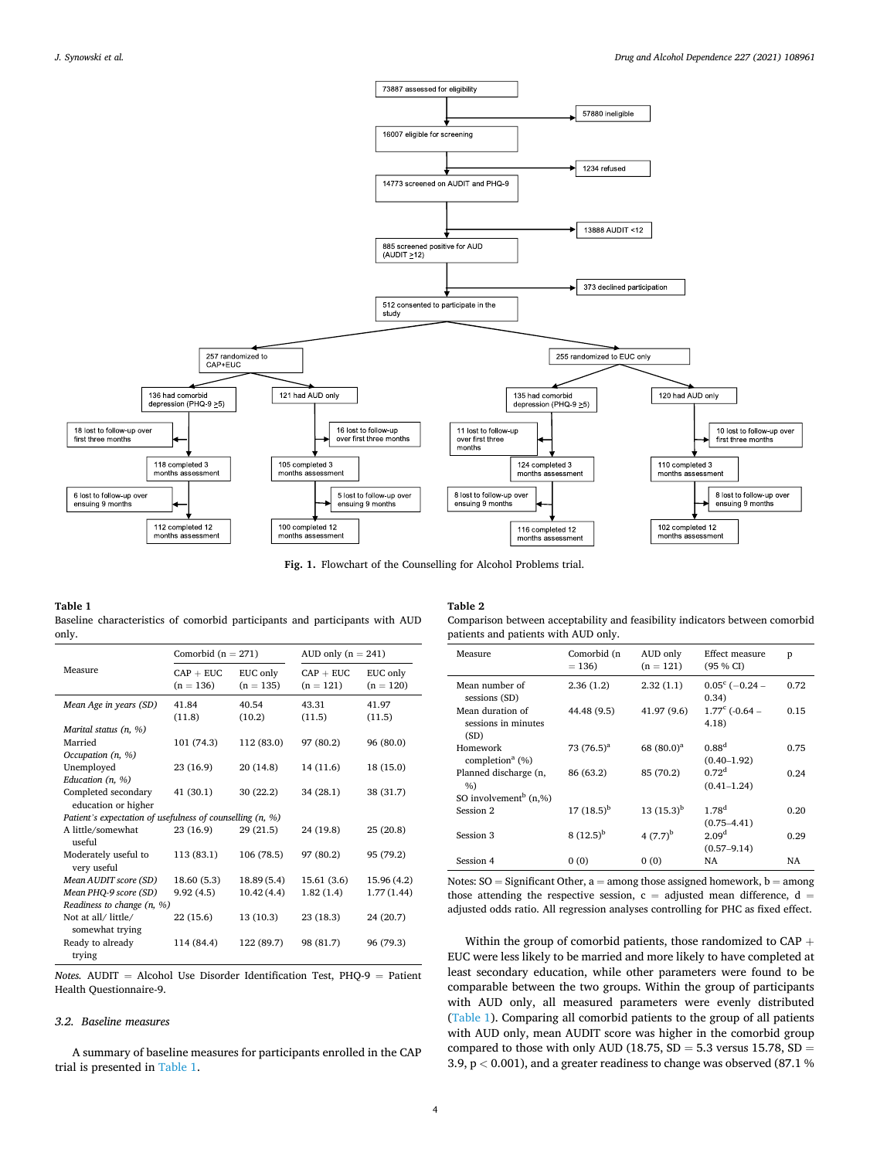<span id="page-3-0"></span>

**Fig. 1.** Flowchart of the Counselling for Alcohol Problems trial.

## **Table 1**

|       | Baseline characteristics of comorbid participants and participants with AUD |  |  |  |  |
|-------|-----------------------------------------------------------------------------|--|--|--|--|
| only. |                                                                             |  |  |  |  |

|                                                           | Comorbid $(n = 271)$       |                         | AUD only $(n = 241)$       |                         |  |  |  |  |
|-----------------------------------------------------------|----------------------------|-------------------------|----------------------------|-------------------------|--|--|--|--|
| Measure                                                   | $CAP + EUC$<br>$(n = 136)$ | EUC only<br>$(n = 135)$ | $CAP + EUC$<br>$(n = 121)$ | EUC only<br>$(n = 120)$ |  |  |  |  |
| Mean Age in years (SD)                                    | 41.84                      | 40.54                   | 43.31                      | 41.97                   |  |  |  |  |
|                                                           | (11.8)                     | (10.2)                  | (11.5)                     | (11.5)                  |  |  |  |  |
| Marital status $(n, %)$                                   |                            |                         |                            |                         |  |  |  |  |
| Married                                                   | 101 (74.3)                 | 112 (83.0)              | 97 (80.2)                  | 96 (80.0)               |  |  |  |  |
| Occupation (n, %)                                         |                            |                         |                            |                         |  |  |  |  |
| Unemployed                                                | 23 (16.9)                  | 20 (14.8)               | 14 (11.6)                  | 18 (15.0)               |  |  |  |  |
| Education $(n, %)$                                        |                            |                         |                            |                         |  |  |  |  |
| Completed secondary<br>education or higher                | 41 (30.1)                  | 30(22.2)                | 34 (28.1)                  | 38 (31.7)               |  |  |  |  |
| Patient's expectation of usefulness of counselling (n, %) |                            |                         |                            |                         |  |  |  |  |
| A little/somewhat                                         | 23 (16.9)                  | 29(21.5)                | 24 (19.8)                  | 25(20.8)                |  |  |  |  |
| useful                                                    |                            |                         |                            |                         |  |  |  |  |
| Moderately useful to<br>very useful                       | 113 (83.1)                 | 106 (78.5)              | 97 (80.2)                  | 95 (79.2)               |  |  |  |  |
| Mean AUDIT score (SD)                                     | 18.60(5.3)                 | 18.89(5.4)              | 15.61 (3.6)                | 15.96 (4.2)             |  |  |  |  |
| Mean PHQ-9 score (SD)                                     | 9.92(4.5)                  | 10.42(4.4)              | 1.82(1.4)                  | 1.77(1.44)              |  |  |  |  |
| Readiness to change $(n, %)$                              |                            |                         |                            |                         |  |  |  |  |
| Not at all/ little/<br>somewhat trying                    | 22 (15.6)                  | 13 (10.3)               | 23(18.3)                   | 24 (20.7)               |  |  |  |  |
| Ready to already<br>trying                                | 114 (84.4)                 | 122 (89.7)              | 98 (81.7)                  | 96 (79.3)               |  |  |  |  |

*Notes.* AUDIT = Alcohol Use Disorder Identification Test, PHQ-9 = Patient Health Questionnaire-9.

#### *3.2. Baseline measures*

A summary of baseline measures for participants enrolled in the CAP trial is presented in Table 1.

### **Table 2**

Comparison between acceptability and feasibility indicators between comorbid patients and patients with AUD only.

| Measure                                         | Comorbid (n<br>$= 136$ | AUD only<br>$(n = 121)$ | <b>Effect measure</b><br>(95 % CI)   | p    |
|-------------------------------------------------|------------------------|-------------------------|--------------------------------------|------|
| Mean number of<br>sessions (SD)                 | 2.36 (1.2)             | 2.32(1.1)               | $0.05^{\circ}$ (-0.24 -<br>0.34)     | 0.72 |
| Mean duration of<br>sessions in minutes<br>(SD) | 44.48 (9.5)            | 41.97 (9.6)             | $1.77^{\circ}$ (-0.64 –<br>4.18)     | 0.15 |
| Homework<br>completion <sup>a</sup> $(\%)$      | $73(76.5)^a$           | 68 $(80.0)^a$           | 0.88 <sup>d</sup><br>$(0.40 - 1.92)$ | 0.75 |
| Planned discharge (n,<br>%                      | 86 (63.2)              | 85 (70.2)               | 0.72 <sup>d</sup><br>$(0.41 - 1.24)$ | 0.24 |
| SO involvement <sup>b</sup> $(n, %)$            |                        |                         |                                      |      |
| Session 2                                       | 17 $(18.5)^{b}$        | $13(15.3)^{b}$          | $1.78^{d}$<br>$(0.75 - 4.41)$        | 0.20 |
| Session 3                                       | $8(12.5)^{b}$          | 4 $(7.7)^{b}$           | 2.09 <sup>d</sup><br>$(0.57 - 9.14)$ | 0.29 |
| Session 4                                       | 0(0)                   | 0(0)                    | NA                                   | NA   |

Notes:  $SO =$  Significant Other,  $a =$  among those assigned homework,  $b =$  among those attending the respective session,  $c =$  adjusted mean difference,  $d =$ adjusted odds ratio. All regression analyses controlling for PHC as fixed effect.

Within the group of comorbid patients, those randomized to CAP + EUC were less likely to be married and more likely to have completed at least secondary education, while other parameters were found to be comparable between the two groups. Within the group of participants with AUD only, all measured parameters were evenly distributed (Table 1). Comparing all comorbid patients to the group of all patients with AUD only, mean AUDIT score was higher in the comorbid group compared to those with only AUD (18.75,  $SD = 5.3$  versus 15.78,  $SD =$ 3.9, p *<* 0.001), and a greater readiness to change was observed (87.1 %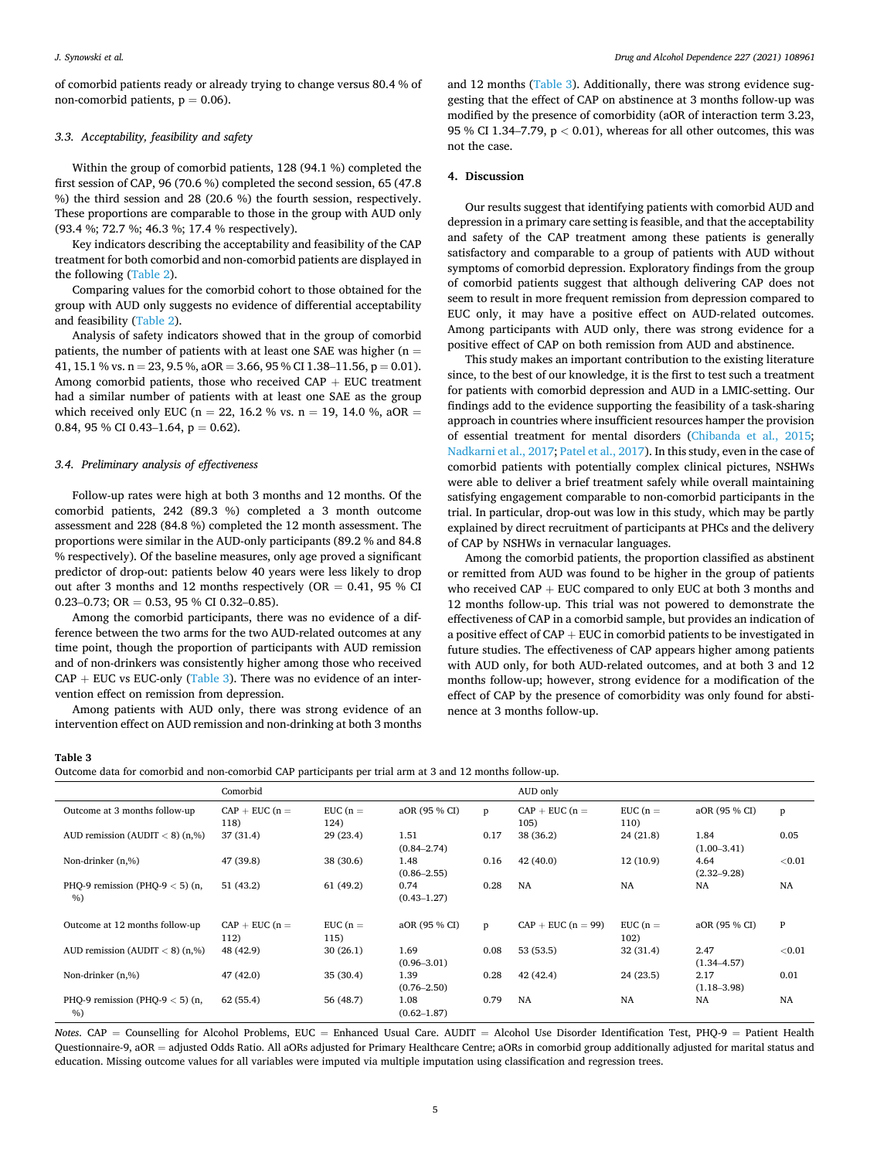of comorbid patients ready or already trying to change versus 80.4 % of non-comorbid patients,  $p = 0.06$ ).

#### *3.3. Acceptability, feasibility and safety*

Within the group of comorbid patients, 128 (94.1 %) completed the first session of CAP, 96 (70.6 %) completed the second session, 65 (47.8 %) the third session and 28 (20.6 %) the fourth session, respectively. These proportions are comparable to those in the group with AUD only (93.4 %; 72.7 %; 46.3 %; 17.4 % respectively).

Key indicators describing the acceptability and feasibility of the CAP treatment for both comorbid and non-comorbid patients are displayed in the following ([Table 2](#page-3-0)).

Comparing values for the comorbid cohort to those obtained for the group with AUD only suggests no evidence of differential acceptability and feasibility [\(Table 2\)](#page-3-0).

Analysis of safety indicators showed that in the group of comorbid patients, the number of patients with at least one SAE was higher ( $n =$ 41, 15.1 % vs.  $n = 23$ , 9.5 %, aOR = 3.66, 95 % CI 1.38–11.56,  $p = 0.01$ ). Among comorbid patients, those who received  $CAP + EUC$  treatment had a similar number of patients with at least one SAE as the group which received only EUC ( $n = 22, 16.2$  % vs.  $n = 19, 14.0$  %, aOR = 0.84, 95 % CI 0.43–1.64,  $p = 0.62$ ).

#### *3.4. Preliminary analysis of effectiveness*

Follow-up rates were high at both 3 months and 12 months. Of the comorbid patients, 242 (89.3 %) completed a 3 month outcome assessment and 228 (84.8 %) completed the 12 month assessment. The proportions were similar in the AUD-only participants (89.2 % and 84.8 % respectively). Of the baseline measures, only age proved a significant predictor of drop-out: patients below 40 years were less likely to drop out after 3 months and 12 months respectively ( $OR = 0.41$ , 95 % CI 0.23–0.73; OR = 0.53, 95 % CI 0.32–0.85).

Among the comorbid participants, there was no evidence of a difference between the two arms for the two AUD-related outcomes at any time point, though the proportion of participants with AUD remission and of non-drinkers was consistently higher among those who received  $CAP + EUC$  vs EUC-only (Table 3). There was no evidence of an intervention effect on remission from depression.

Among patients with AUD only, there was strong evidence of an intervention effect on AUD remission and non-drinking at both 3 months

and 12 months (Table 3). Additionally, there was strong evidence suggesting that the effect of CAP on abstinence at 3 months follow-up was modified by the presence of comorbidity (aOR of interaction term 3.23, 95 % CI 1.34–7.79, p *<* 0.01), whereas for all other outcomes, this was not the case.

#### **4. Discussion**

Our results suggest that identifying patients with comorbid AUD and depression in a primary care setting is feasible, and that the acceptability and safety of the CAP treatment among these patients is generally satisfactory and comparable to a group of patients with AUD without symptoms of comorbid depression. Exploratory findings from the group of comorbid patients suggest that although delivering CAP does not seem to result in more frequent remission from depression compared to EUC only, it may have a positive effect on AUD-related outcomes. Among participants with AUD only, there was strong evidence for a positive effect of CAP on both remission from AUD and abstinence.

This study makes an important contribution to the existing literature since, to the best of our knowledge, it is the first to test such a treatment for patients with comorbid depression and AUD in a LMIC-setting. Our findings add to the evidence supporting the feasibility of a task-sharing approach in countries where insufficient resources hamper the provision of essential treatment for mental disorders ([Chibanda et al., 2015](#page-6-0); [Nadkarni et al., 2017; Patel et al., 2017\)](#page-6-0). In this study, even in the case of comorbid patients with potentially complex clinical pictures, NSHWs were able to deliver a brief treatment safely while overall maintaining satisfying engagement comparable to non-comorbid participants in the trial. In particular, drop-out was low in this study, which may be partly explained by direct recruitment of participants at PHCs and the delivery of CAP by NSHWs in vernacular languages.

Among the comorbid patients, the proportion classified as abstinent or remitted from AUD was found to be higher in the group of patients who received CAP + EUC compared to only EUC at both 3 months and 12 months follow-up. This trial was not powered to demonstrate the effectiveness of CAP in a comorbid sample, but provides an indication of a positive effect of CAP + EUC in comorbid patients to be investigated in future studies. The effectiveness of CAP appears higher among patients with AUD only, for both AUD-related outcomes, and at both 3 and 12 months follow-up; however, strong evidence for a modification of the effect of CAP by the presence of comorbidity was only found for abstinence at 3 months follow-up.

#### **Table 3**

```
Outcome data for comorbid and non-comorbid CAP participants per trial arm at 3 and 12 months follow-up.
```

|                                        | Comorbid                 |                    |                         |      | AUD only                 |                    |                         |           |
|----------------------------------------|--------------------------|--------------------|-------------------------|------|--------------------------|--------------------|-------------------------|-----------|
| Outcome at 3 months follow-up          | $CAP + EUC (n =$<br>118) | EUC $(n =$<br>124) | aOR (95 % CI)           | p    | $CAP + EUC (n =$<br>105) | EUC $(n =$<br>110) | aOR (95 % CI)           | p         |
| AUD remission (AUDIT $<$ 8) (n,%)      | 37 (31.4)                | 29(23.4)           | 1.51<br>$(0.84 - 2.74)$ | 0.17 | 38 (36.2)                | 24 (21.8)          | 1.84<br>$(1.00 - 3.41)$ | 0.05      |
| Non-drinker (n,%)                      | 47 (39.8)                | 38 (30.6)          | 1.48<br>$(0.86 - 2.55)$ | 0.16 | 42(40.0)                 | 12(10.9)           | 4.64<br>$(2.32 - 9.28)$ | ${<}0.01$ |
| PHQ-9 remission (PHQ-9 $<$ 5) (n,<br>% | 51(43.2)                 | 61(49.2)           | 0.74<br>$(0.43 - 1.27)$ | 0.28 | <b>NA</b>                | <b>NA</b>          | <b>NA</b>               | <b>NA</b> |
| Outcome at 12 months follow-up         | $CAP + EUC (n =$<br>112) | EUC $(n =$<br>115) | aOR (95 % CI)           | p    | $CAP + EUC (n = 99)$     | EUC $(n =$<br>102) | aOR (95 % CI)           | P         |
| AUD remission (AUDIT $<$ 8) (n,%)      | 48 (42.9)                | 30(26.1)           | 1.69<br>$(0.96 - 3.01)$ | 0.08 | 53 (53.5)                | 32 (31.4)          | 2.47<br>$(1.34 - 4.57)$ | ${<}0.01$ |
| Non-drinker (n,%)                      | 47(42.0)                 | 35(30.4)           | 1.39<br>$(0.76 - 2.50)$ | 0.28 | 42(42.4)                 | 24(23.5)           | 2.17<br>$(1.18 - 3.98)$ | 0.01      |
| PHQ-9 remission (PHQ-9 $<$ 5) (n,<br>% | 62(55.4)                 | 56 (48.7)          | 1.08<br>$(0.62 - 1.87)$ | 0.79 | <b>NA</b>                | <b>NA</b>          | <b>NA</b>               | NA        |

*Notes*. CAP = Counselling for Alcohol Problems, EUC = Enhanced Usual Care. AUDIT = Alcohol Use Disorder Identification Test, PHQ-9 = Patient Health Questionnaire-9, aOR = adjusted Odds Ratio. All aORs adjusted for Primary Healthcare Centre; aORs in comorbid group additionally adjusted for marital status and education. Missing outcome values for all variables were imputed via multiple imputation using classification and regression trees.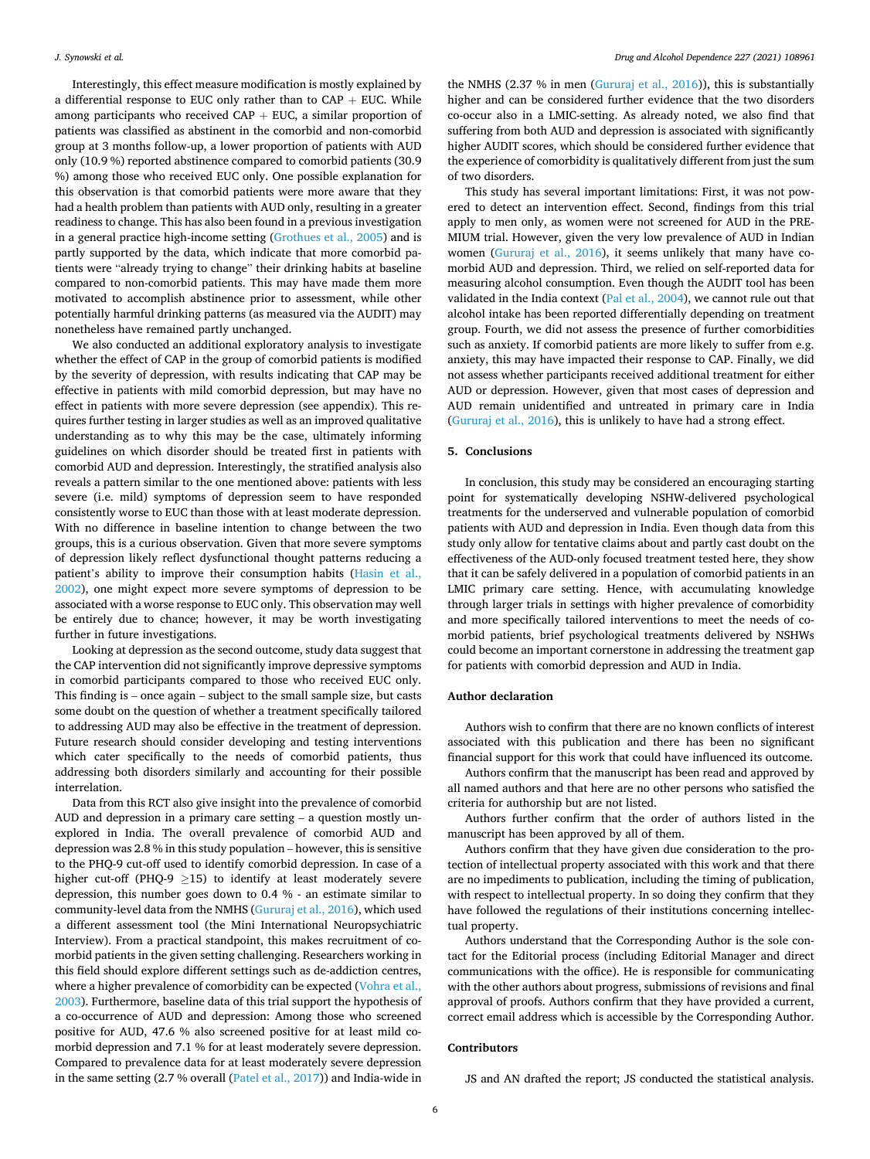Interestingly, this effect measure modification is mostly explained by a differential response to EUC only rather than to  $CAP + EUC$ . While among participants who received  $CAP + EUC$ , a similar proportion of patients was classified as abstinent in the comorbid and non-comorbid group at 3 months follow-up, a lower proportion of patients with AUD only (10.9 %) reported abstinence compared to comorbid patients (30.9 %) among those who received EUC only. One possible explanation for this observation is that comorbid patients were more aware that they had a health problem than patients with AUD only, resulting in a greater readiness to change. This has also been found in a previous investigation in a general practice high-income setting ([Grothues et al., 2005](#page-6-0)) and is partly supported by the data, which indicate that more comorbid patients were "already trying to change" their drinking habits at baseline compared to non-comorbid patients. This may have made them more motivated to accomplish abstinence prior to assessment, while other potentially harmful drinking patterns (as measured via the AUDIT) may nonetheless have remained partly unchanged.

We also conducted an additional exploratory analysis to investigate whether the effect of CAP in the group of comorbid patients is modified by the severity of depression, with results indicating that CAP may be effective in patients with mild comorbid depression, but may have no effect in patients with more severe depression (see appendix). This requires further testing in larger studies as well as an improved qualitative understanding as to why this may be the case, ultimately informing guidelines on which disorder should be treated first in patients with comorbid AUD and depression. Interestingly, the stratified analysis also reveals a pattern similar to the one mentioned above: patients with less severe (i.e. mild) symptoms of depression seem to have responded consistently worse to EUC than those with at least moderate depression. With no difference in baseline intention to change between the two groups, this is a curious observation. Given that more severe symptoms of depression likely reflect dysfunctional thought patterns reducing a patient's ability to improve their consumption habits ([Hasin et al.,](#page-6-0)  [2002\)](#page-6-0), one might expect more severe symptoms of depression to be associated with a worse response to EUC only. This observation may well be entirely due to chance; however, it may be worth investigating further in future investigations.

Looking at depression as the second outcome, study data suggest that the CAP intervention did not significantly improve depressive symptoms in comorbid participants compared to those who received EUC only. This finding is – once again – subject to the small sample size, but casts some doubt on the question of whether a treatment specifically tailored to addressing AUD may also be effective in the treatment of depression. Future research should consider developing and testing interventions which cater specifically to the needs of comorbid patients, thus addressing both disorders similarly and accounting for their possible interrelation.

Data from this RCT also give insight into the prevalence of comorbid AUD and depression in a primary care setting – a question mostly unexplored in India. The overall prevalence of comorbid AUD and depression was 2.8 % in this study population – however, this is sensitive to the PHQ-9 cut-off used to identify comorbid depression. In case of a higher cut-off (PHQ-9  $\geq$ 15) to identify at least moderately severe depression, this number goes down to 0.4 % - an estimate similar to community-level data from the NMHS ([Gururaj et al., 2016](#page-6-0)), which used a different assessment tool (the Mini International Neuropsychiatric Interview). From a practical standpoint, this makes recruitment of comorbid patients in the given setting challenging. Researchers working in this field should explore different settings such as de-addiction centres, where a higher prevalence of comorbidity can be expected (Vohra et al., [2003\)](#page-7-0). Furthermore, baseline data of this trial support the hypothesis of a co-occurrence of AUD and depression: Among those who screened positive for AUD, 47.6 % also screened positive for at least mild comorbid depression and 7.1 % for at least moderately severe depression. Compared to prevalence data for at least moderately severe depression in the same setting (2.7 % overall ([Patel et al., 2017\)](#page-6-0)) and India-wide in

the NMHS (2.37 % in men [\(Gururaj et al., 2016](#page-6-0))), this is substantially higher and can be considered further evidence that the two disorders co-occur also in a LMIC-setting. As already noted, we also find that suffering from both AUD and depression is associated with significantly higher AUDIT scores, which should be considered further evidence that the experience of comorbidity is qualitatively different from just the sum of two disorders.

This study has several important limitations: First, it was not powered to detect an intervention effect. Second, findings from this trial apply to men only, as women were not screened for AUD in the PRE-MIUM trial. However, given the very low prevalence of AUD in Indian women ([Gururaj et al., 2016](#page-6-0)), it seems unlikely that many have comorbid AUD and depression. Third, we relied on self-reported data for measuring alcohol consumption. Even though the AUDIT tool has been validated in the India context [\(Pal et al., 2004](#page-6-0)), we cannot rule out that alcohol intake has been reported differentially depending on treatment group. Fourth, we did not assess the presence of further comorbidities such as anxiety. If comorbid patients are more likely to suffer from e.g. anxiety, this may have impacted their response to CAP. Finally, we did not assess whether participants received additional treatment for either AUD or depression. However, given that most cases of depression and AUD remain unidentified and untreated in primary care in India ([Gururaj et al., 2016](#page-6-0)), this is unlikely to have had a strong effect.

#### **5. Conclusions**

In conclusion, this study may be considered an encouraging starting point for systematically developing NSHW-delivered psychological treatments for the underserved and vulnerable population of comorbid patients with AUD and depression in India. Even though data from this study only allow for tentative claims about and partly cast doubt on the effectiveness of the AUD-only focused treatment tested here, they show that it can be safely delivered in a population of comorbid patients in an LMIC primary care setting. Hence, with accumulating knowledge through larger trials in settings with higher prevalence of comorbidity and more specifically tailored interventions to meet the needs of comorbid patients, brief psychological treatments delivered by NSHWs could become an important cornerstone in addressing the treatment gap for patients with comorbid depression and AUD in India.

#### **Author declaration**

Authors wish to confirm that there are no known conflicts of interest associated with this publication and there has been no significant financial support for this work that could have influenced its outcome.

Authors confirm that the manuscript has been read and approved by all named authors and that here are no other persons who satisfied the criteria for authorship but are not listed.

Authors further confirm that the order of authors listed in the manuscript has been approved by all of them.

Authors confirm that they have given due consideration to the protection of intellectual property associated with this work and that there are no impediments to publication, including the timing of publication, with respect to intellectual property. In so doing they confirm that they have followed the regulations of their institutions concerning intellectual property.

Authors understand that the Corresponding Author is the sole contact for the Editorial process (including Editorial Manager and direct communications with the office). He is responsible for communicating with the other authors about progress, submissions of revisions and final approval of proofs. Authors confirm that they have provided a current, correct email address which is accessible by the Corresponding Author.

#### **Contributors**

JS and AN drafted the report; JS conducted the statistical analysis.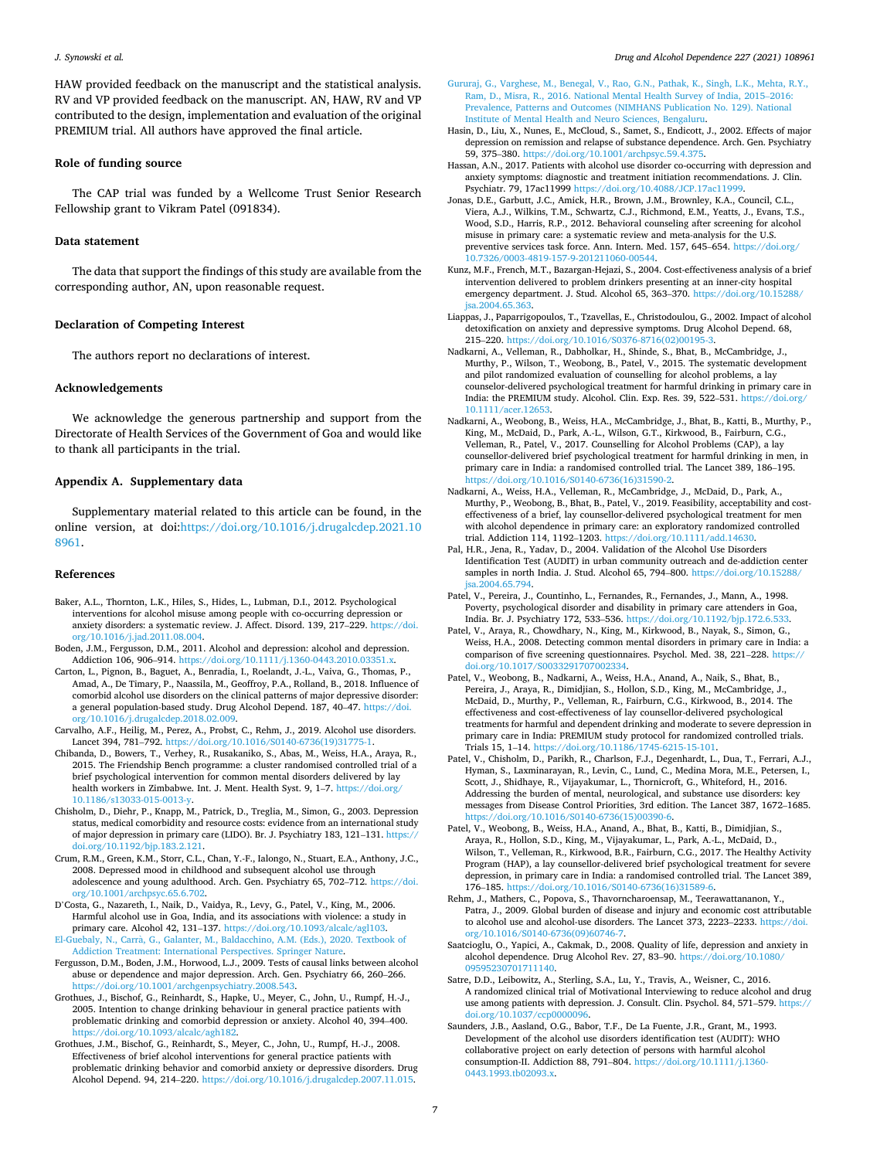<span id="page-6-0"></span>HAW provided feedback on the manuscript and the statistical analysis. RV and VP provided feedback on the manuscript. AN, HAW, RV and VP contributed to the design, implementation and evaluation of the original PREMIUM trial. All authors have approved the final article.

#### **Role of funding source**

The CAP trial was funded by a Wellcome Trust Senior Research Fellowship grant to Vikram Patel (091834).

#### **Data statement**

The data that support the findings of this study are available from the corresponding author, AN, upon reasonable request.

#### **Declaration of Competing Interest**

The authors report no declarations of interest.

#### **Acknowledgements**

We acknowledge the generous partnership and support from the Directorate of Health Services of the Government of Goa and would like to thank all participants in the trial.

#### **Appendix A. Supplementary data**

Supplementary material related to this article can be found, in the online version, at doi:[https://doi.org/10.1016/j.drugalcdep.2021.10](https://doi.org/10.1016/j.drugalcdep.2021.108961)  [8961.](https://doi.org/10.1016/j.drugalcdep.2021.108961)

#### **References**

- Baker, A.L., Thornton, L.K., Hiles, S., Hides, L., Lubman, D.I., 2012. Psychological interventions for alcohol misuse among people with co-occurring depression or anxiety disorders: a systematic review. J. Affect. Disord. 139, 217–229. [https://doi.](https://doi.org/10.1016/j.jad.2011.08.004)  [org/10.1016/j.jad.2011.08.004](https://doi.org/10.1016/j.jad.2011.08.004).
- Boden, J.M., Fergusson, D.M., 2011. Alcohol and depression: alcohol and depression. Addiction 106, 906–914. [https://doi.org/10.1111/j.1360-0443.2010.03351.x.](https://doi.org/10.1111/j.1360-0443.2010.03351.x)
- Carton, L., Pignon, B., Baguet, A., Benradia, I., Roelandt, J.-L., Vaiva, G., Thomas, P., Amad, A., De Timary, P., Naassila, M., Geoffroy, P.A., Rolland, B., 2018. Influence of comorbid alcohol use disorders on the clinical patterns of major depressive disorder: a general population-based study. Drug Alcohol Depend. 187, 40–47. [https://doi.](https://doi.org/10.1016/j.drugalcdep.2018.02.009) [org/10.1016/j.drugalcdep.2018.02.009](https://doi.org/10.1016/j.drugalcdep.2018.02.009).
- Carvalho, A.F., Heilig, M., Perez, A., Probst, C., Rehm, J., 2019. Alcohol use disorders. Lancet 394, 781–792. [https://doi.org/10.1016/S0140-6736\(19\)31775-1.](https://doi.org/10.1016/S0140-6736(19)31775-1)
- Chibanda, D., Bowers, T., Verhey, R., Rusakaniko, S., Abas, M., Weiss, H.A., Araya, R., 2015. The Friendship Bench programme: a cluster randomised controlled trial of a brief psychological intervention for common mental disorders delivered by lay health workers in Zimbabwe. Int. J. Ment. Health Syst. 9, 1-7. https://doi.org/ [10.1186/s13033-015-0013-y](https://doi.org/10.1186/s13033-015-0013-y).
- Chisholm, D., Diehr, P., Knapp, M., Patrick, D., Treglia, M., Simon, G., 2003. Depression status, medical comorbidity and resource costs: evidence from an international study of major depression in primary care (LIDO). Br. J. Psychiatry 183, 121–131. [https://](https://doi.org/10.1192/bjp.183.2.121)  [doi.org/10.1192/bjp.183.2.121.](https://doi.org/10.1192/bjp.183.2.121)
- Crum, R.M., Green, K.M., Storr, C.L., Chan, Y.-F., Ialongo, N., Stuart, E.A., Anthony, J.C., 2008. Depressed mood in childhood and subsequent alcohol use through adolescence and young adulthood. Arch. Gen. Psychiatry 65, 702–712. [https://doi.](https://doi.org/10.1001/archpsyc.65.6.702)  [org/10.1001/archpsyc.65.6.702](https://doi.org/10.1001/archpsyc.65.6.702).
- D'Costa, G., Nazareth, I., Naik, D., Vaidya, R., Levy, G., Patel, V., King, M., 2006. Harmful alcohol use in Goa, India, and its associations with violence: a study in primary care. Alcohol 42, 131–137. [https://doi.org/10.1093/alcalc/agl103.](https://doi.org/10.1093/alcalc/agl103) El-Guebaly, N., Carrà, [G., Galanter, M., Baldacchino, A.M. \(Eds.\), 2020. Textbook of](http://refhub.elsevier.com/S0376-8716(21)00456-7/sbref0045) [Addiction Treatment: International Perspectives. Springer Nature.](http://refhub.elsevier.com/S0376-8716(21)00456-7/sbref0045)
- Fergusson, D.M., Boden, J.M., Horwood, L.J., 2009. Tests of causal links between alcohol abuse or dependence and major depression. Arch. Gen. Psychiatry 66, 260–266. [https://doi.org/10.1001/archgenpsychiatry.2008.543.](https://doi.org/10.1001/archgenpsychiatry.2008.543)
- Grothues, J., Bischof, G., Reinhardt, S., Hapke, U., Meyer, C., John, U., Rumpf, H.-J., 2005. Intention to change drinking behaviour in general practice patients with problematic drinking and comorbid depression or anxiety. Alcohol 40, 394–400. [https://doi.org/10.1093/alcalc/agh182.](https://doi.org/10.1093/alcalc/agh182)

Grothues, J.M., Bischof, G., Reinhardt, S., Meyer, C., John, U., Rumpf, H.-J., 2008. Effectiveness of brief alcohol interventions for general practice patients with problematic drinking behavior and comorbid anxiety or depressive disorders. Drug Alcohol Depend. 94, 214–220.<https://doi.org/10.1016/j.drugalcdep.2007.11.015>.

- [Gururaj, G., Varghese, M., Benegal, V., Rao, G.N., Pathak, K., Singh, L.K., Mehta, R.Y.,](http://refhub.elsevier.com/S0376-8716(21)00456-7/sbref0065)  [Ram, D., Misra, R., 2016. National Mental Health Survey of India, 2015](http://refhub.elsevier.com/S0376-8716(21)00456-7/sbref0065)–2016: [Prevalence, Patterns and Outcomes \(NIMHANS Publication No. 129\). National](http://refhub.elsevier.com/S0376-8716(21)00456-7/sbref0065) [Institute of Mental Health and Neuro Sciences, Bengaluru.](http://refhub.elsevier.com/S0376-8716(21)00456-7/sbref0065)
- Hasin, D., Liu, X., Nunes, E., McCloud, S., Samet, S., Endicott, J., 2002. Effects of major depression on remission and relapse of substance dependence. Arch. Gen. Psychiatry 59, 375–380. [https://doi.org/10.1001/archpsyc.59.4.375.](https://doi.org/10.1001/archpsyc.59.4.375)
- Hassan, A.N., 2017. Patients with alcohol use disorder co-occurring with depression and anxiety symptoms: diagnostic and treatment initiation recommendations. J. Clin. Psychiatr. 79, 17ac11999 [https://doi.org/10.4088/JCP.17ac11999.](https://doi.org/10.4088/JCP.17ac11999)
- Jonas, D.E., Garbutt, J.C., Amick, H.R., Brown, J.M., Brownley, K.A., Council, C.L., Viera, A.J., Wilkins, T.M., Schwartz, C.J., Richmond, E.M., Yeatts, J., Evans, T.S., Wood, S.D., Harris, R.P., 2012. Behavioral counseling after screening for alcohol misuse in primary care: a systematic review and meta-analysis for the U.S. preventive services task force. Ann. Intern. Med. 157, 645–654. https://doi.org/ [10.7326/0003-4819-157-9-201211060-00544.](https://doi.org/10.7326/0003-4819-157-9-201211060-00544)
- Kunz, M.F., French, M.T., Bazargan-Hejazi, S., 2004. Cost-effectiveness analysis of a brief intervention delivered to problem drinkers presenting at an inner-city hospital emergency department. J. Stud. Alcohol 65, 363-370. https://doi.org/10.15288 [jsa.2004.65.363.](https://doi.org/10.15288/jsa.2004.65.363)
- Liappas, J., Paparrigopoulos, T., Tzavellas, E., Christodoulou, G., 2002. Impact of alcohol detoxification on anxiety and depressive symptoms. Drug Alcohol Depend. 68, 215–220. https://doi.org/10.1016/S0376-8716(02)0019
- Nadkarni, A., Velleman, R., Dabholkar, H., Shinde, S., Bhat, B., McCambridge, J., Murthy, P., Wilson, T., Weobong, B., Patel, V., 2015. The systematic development and pilot randomized evaluation of counselling for alcohol problems, a lay counselor-delivered psychological treatment for harmful drinking in primary care in India: the PREMIUM study. Alcohol. Clin. Exp. Res. 39, 522–531. [https://doi.org/](https://doi.org/10.1111/acer.12653)  10.1111/acer.1265
- Nadkarni, A., Weobong, B., Weiss, H.A., McCambridge, J., Bhat, B., Katti, B., Murthy, P., King, M., McDaid, D., Park, A.-L., Wilson, G.T., Kirkwood, B., Fairburn, C.G., Velleman, R., Patel, V., 2017. Counselling for Alcohol Problems (CAP), a lay counsellor-delivered brief psychological treatment for harmful drinking in men, in primary care in India: a randomised controlled trial. The Lancet 389, 186–195. doi.org/10.1016/S0140-6736(16)31590-2.
- Nadkarni, A., Weiss, H.A., Velleman, R., McCambridge, J., McDaid, D., Park, A., Murthy, P., Weobong, B., Bhat, B., Patel, V., 2019. Feasibility, acceptability and costeffectiveness of a brief, lay counsellor-delivered psychological treatment for men with alcohol dependence in primary care: an exploratory randomized controlled trial. Addiction 114, 1192–1203.<https://doi.org/10.1111/add.14630>.
- Pal, H.R., Jena, R., Yadav, D., 2004. Validation of the Alcohol Use Disorders Identification Test (AUDIT) in urban community outreach and de-addiction center samples in north India. J. Stud. Alcohol 65, 794–800. https://doi.org/10.15288 [jsa.2004.65.794.](https://doi.org/10.15288/jsa.2004.65.794)
- Patel, V., Pereira, J., Countinho, L., Fernandes, R., Fernandes, J., Mann, A., 1998. Poverty, psychological disorder and disability in primary care attenders in Goa, India. Br. J. Psychiatry 172, 533–536. <https://doi.org/10.1192/bjp.172.6.533>.
- Patel, V., Araya, R., Chowdhary, N., King, M., Kirkwood, B., Nayak, S., Simon, G., Weiss, H.A., 2008. Detecting common mental disorders in primary care in India: a comparison of five screening questionnaires. Psychol. Med. 38, 221–228. [https://](https://doi.org/10.1017/S0033291707002334) [doi.org/10.1017/S0033291707002334.](https://doi.org/10.1017/S0033291707002334)
- Patel, V., Weobong, B., Nadkarni, A., Weiss, H.A., Anand, A., Naik, S., Bhat, B., Pereira, J., Araya, R., Dimidjian, S., Hollon, S.D., King, M., McCambridge, J., McDaid, D., Murthy, P., Velleman, R., Fairburn, C.G., Kirkwood, B., 2014. The effectiveness and cost-effectiveness of lay counsellor-delivered psychological treatments for harmful and dependent drinking and moderate to severe depression in primary care in India: PREMIUM study protocol for randomized controlled trials. Trials 15, 1–14. <https://doi.org/10.1186/1745-6215-15-101>.
- Patel, V., Chisholm, D., Parikh, R., Charlson, F.J., Degenhardt, L., Dua, T., Ferrari, A.J., Hyman, S., Laxminarayan, R., Levin, C., Lund, C., Medina Mora, M.E., Petersen, I., Scott, J., Shidhaye, R., Vijayakumar, L., Thornicroft, G., Whiteford, H., 2016. Addressing the burden of mental, neurological, and substance use disorders: key messages from Disease Control Priorities, 3rd edition. The Lancet 387, 1672–1685. [https://doi.org/10.1016/S0140-6736\(15\)00390-6.](https://doi.org/10.1016/S0140-6736(15)00390-6)
- Patel, V., Weobong, B., Weiss, H.A., Anand, A., Bhat, B., Katti, B., Dimidjian, S., Araya, R., Hollon, S.D., King, M., Vijayakumar, L., Park, A.-L., McDaid, D., Wilson, T., Velleman, R., Kirkwood, B.R., Fairburn, C.G., 2017. The Healthy Activity Program (HAP), a lay counsellor-delivered brief psychological treatment for severe depression, in primary care in India: a randomised controlled trial. The Lancet 389, 176–185. [https://doi.org/10.1016/S0140-6736\(16\)31589-6.](https://doi.org/10.1016/S0140-6736(16)31589-6)
- Rehm, J., Mathers, C., Popova, S., Thavorncharoensap, M., Teerawattananon, Y., Patra, J., 2009. Global burden of disease and injury and economic cost attributable to alcohol use and alcohol-use disorders. The Lancet 373, 2223–2233. [https://doi.](https://doi.org/10.1016/S0140-6736(09)60746-7)  [org/10.1016/S0140-6736\(09\)60746-7](https://doi.org/10.1016/S0140-6736(09)60746-7).
- Saatcioglu, O., Yapici, A., Cakmak, D., 2008. Quality of life, depression and anxiety in alcohol dependence. Drug Alcohol Rev. 27, 83–90. [https://doi.org/10.1080/](https://doi.org/10.1080/09595230701711140) [09595230701711140.](https://doi.org/10.1080/09595230701711140)
- Satre, D.D., Leibowitz, A., Sterling, S.A., Lu, Y., Travis, A., Weisner, C., 2016. A randomized clinical trial of Motivational Interviewing to reduce alcohol and drug use among patients with depression. J. Consult. Clin. Psychol. 84, 571-579. https: [doi.org/10.1037/ccp0000096.](https://doi.org/10.1037/ccp0000096)
- Saunders, J.B., Aasland, O.G., Babor, T.F., De La Fuente, J.R., Grant, M., 1993. Development of the alcohol use disorders identification test (AUDIT): WHO collaborative project on early detection of persons with harmful alcohol consumption-II. Addiction 88, 791–804. [https://doi.org/10.1111/j.1360-](https://doi.org/10.1111/j.1360-0443.1993.tb02093.x) [0443.1993.tb02093.x.](https://doi.org/10.1111/j.1360-0443.1993.tb02093.x)